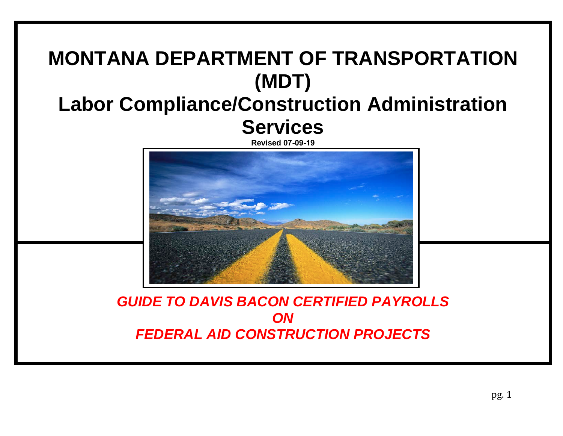## **MONTANA DEPARTMENT OF TRANSPORTATION (MDT) Labor Compliance/Construction Administration Services**

**Revised 07-09-19**



*GUIDE TO DAVIS BACON CERTIFIED PAYROLLS ON FEDERAL AID CONSTRUCTION PROJECTS*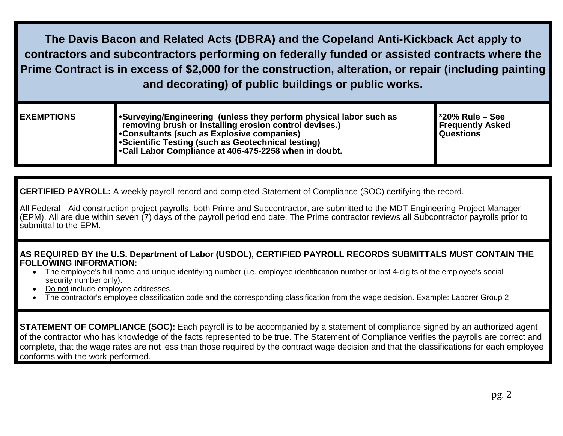**The Davis Bacon and Related Acts (DBRA) and the Copeland Anti-Kickback Act apply to contractors and subcontractors performing on federally funded or assisted contracts where the Prime Contract is in excess of \$2,000 for the construction, alteration, or repair (including painting and decorating) of public buildings or public works.**

| <b>EXEMPTIONS</b> | ■ • Surveying/Engineering (unless they perform physical labor such as<br>removing brush or installing erosion control devises.)<br>• Consultants (such as Explosive companies)<br>Scientific Testing (such as Geotechnical testing)<br>•Call Labor Compliance at 406-475-2258 when in doubt. | $\blacksquare$ *20% Rule – See<br><b>Frequently Asked</b><br><b>Questions</b> |
|-------------------|----------------------------------------------------------------------------------------------------------------------------------------------------------------------------------------------------------------------------------------------------------------------------------------------|-------------------------------------------------------------------------------|
|                   |                                                                                                                                                                                                                                                                                              |                                                                               |

**CERTIFIED PAYROLL:** A weekly payroll record and completed Statement of Compliance (SOC) certifying the record.

All Federal - Aid construction project payrolls, both Prime and Subcontractor, are submitted to the MDT Engineering Project Manager (EPM). All are due within seven (7) days of the payroll period end date. The Prime contractor reviews all Subcontractor payrolls prior to submittal to the EPM.

## **AS REQUIRED BY the U.S. Department of Labor (USDOL), CERTIFIED PAYROLL RECORDS SUBMITTALS MUST CONTAIN THE FOLLOWING INFORMATION:**

- The employee's full name and unique identifying number (i.e. employee identification number or last 4-digits of the employee's social security number only).
- Do not include employee addresses.
- The contractor's employee classification code and the corresponding classification from the wage decision. Example: Laborer Group 2

**STATEMENT OF COMPLIANCE (SOC):** Each payroll is to be accompanied by a statement of compliance signed by an authorized agent of the contractor who has knowledge of the facts represented to be true. The Statement of Compliance verifies the payrolls are correct and complete, that the wage rates are not less than those required by the contract wage decision and that the classifications for each employee conforms with the work performed.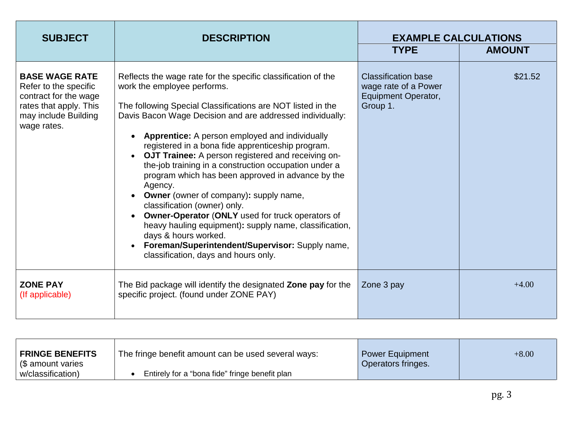| <b>SUBJECT</b>                                                                                                                           | <b>DESCRIPTION</b>                                                                                                                                                                                                                                                                                                                                                                                                                                                                                                                                                                                                                                                                                                                                                                                                                      | <b>EXAMPLE CALCULATIONS</b>                                                                  |               |
|------------------------------------------------------------------------------------------------------------------------------------------|-----------------------------------------------------------------------------------------------------------------------------------------------------------------------------------------------------------------------------------------------------------------------------------------------------------------------------------------------------------------------------------------------------------------------------------------------------------------------------------------------------------------------------------------------------------------------------------------------------------------------------------------------------------------------------------------------------------------------------------------------------------------------------------------------------------------------------------------|----------------------------------------------------------------------------------------------|---------------|
|                                                                                                                                          |                                                                                                                                                                                                                                                                                                                                                                                                                                                                                                                                                                                                                                                                                                                                                                                                                                         | <b>TYPE</b>                                                                                  | <b>AMOUNT</b> |
| <b>BASE WAGE RATE</b><br>Refer to the specific<br>contract for the wage<br>rates that apply. This<br>may include Building<br>wage rates. | Reflects the wage rate for the specific classification of the<br>work the employee performs.<br>The following Special Classifications are NOT listed in the<br>Davis Bacon Wage Decision and are addressed individually:<br><b>Apprentice:</b> A person employed and individually<br>registered in a bona fide apprenticeship program.<br>OJT Trainee: A person registered and receiving on-<br>the-job training in a construction occupation under a<br>program which has been approved in advance by the<br>Agency.<br><b>Owner</b> (owner of company): supply name,<br>classification (owner) only.<br>Owner-Operator (ONLY used for truck operators of<br>heavy hauling equipment): supply name, classification,<br>days & hours worked.<br>Foreman/Superintendent/Supervisor: Supply name,<br>classification, days and hours only. | <b>Classification base</b><br>wage rate of a Power<br><b>Equipment Operator,</b><br>Group 1. | \$21.52       |
| <b>ZONE PAY</b><br>(If applicable)                                                                                                       | The Bid package will identify the designated Zone pay for the<br>specific project. (found under ZONE PAY)                                                                                                                                                                                                                                                                                                                                                                                                                                                                                                                                                                                                                                                                                                                               | Zone 3 pay                                                                                   | $+4.00$       |

| <b>FRINGE BENEFITS</b><br>  (\$ amount varies | The fringe benefit amount can be used several ways: | <b>Power Equipment</b><br>Operators fringes. | $+8.00$ |
|-----------------------------------------------|-----------------------------------------------------|----------------------------------------------|---------|
| w/classification)                             | Entirely for a "bona fide" fringe benefit plan      |                                              |         |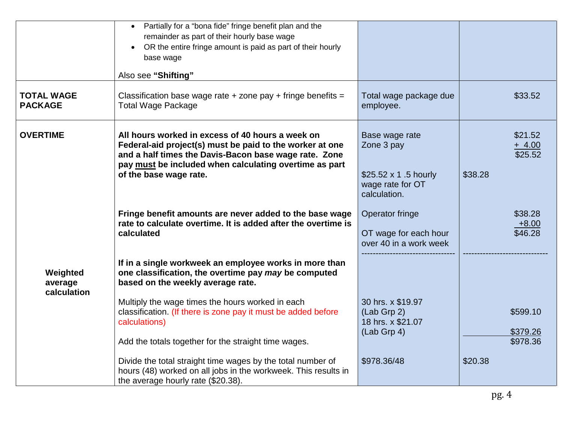|                                     | • Partially for a "bona fide" fringe benefit plan and the<br>remainder as part of their hourly base wage<br>OR the entire fringe amount is paid as part of their hourly<br>$\bullet$<br>base wage<br>Also see "Shifting"                                  |                                                                                                 |                                           |
|-------------------------------------|-----------------------------------------------------------------------------------------------------------------------------------------------------------------------------------------------------------------------------------------------------------|-------------------------------------------------------------------------------------------------|-------------------------------------------|
| <b>TOTAL WAGE</b><br><b>PACKAGE</b> | Classification base wage rate $+$ zone pay $+$ fringe benefits $=$<br><b>Total Wage Package</b>                                                                                                                                                           | Total wage package due<br>employee.                                                             | \$33.52                                   |
| <b>OVERTIME</b>                     | All hours worked in excess of 40 hours a week on<br>Federal-aid project(s) must be paid to the worker at one<br>and a half times the Davis-Bacon base wage rate. Zone<br>pay must be included when calculating overtime as part<br>of the base wage rate. | Base wage rate<br>Zone 3 pay<br>\$25.52 $\times$ 1.5 hourly<br>wage rate for OT<br>calculation. | \$21.52<br>$+ 4.00$<br>\$25.52<br>\$38.28 |
|                                     | Fringe benefit amounts are never added to the base wage<br>rate to calculate overtime. It is added after the overtime is<br>calculated                                                                                                                    | Operator fringe<br>OT wage for each hour<br>over 40 in a work week                              | \$38.28<br>$+8.00$<br>\$46.28             |
| Weighted<br>average<br>calculation  | If in a single workweek an employee works in more than<br>one classification, the overtime pay may be computed<br>based on the weekly average rate.                                                                                                       |                                                                                                 |                                           |
|                                     | Multiply the wage times the hours worked in each<br>classification. (If there is zone pay it must be added before<br>calculations)<br>Add the totals together for the straight time wages.                                                                | 30 hrs. x \$19.97<br>(Lab Grp 2)<br>18 hrs. x \$21.07<br>$(Lab$ Grp 4)                          | \$599.10<br>\$379.26<br>\$978.36          |
|                                     | Divide the total straight time wages by the total number of<br>hours (48) worked on all jobs in the workweek. This results in<br>the average hourly rate (\$20.38).                                                                                       | \$978.36/48                                                                                     | \$20.38                                   |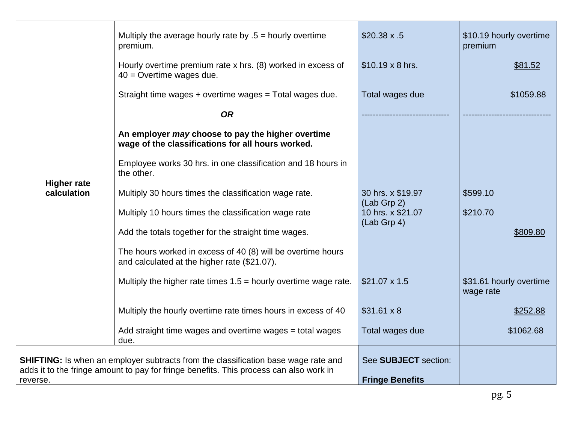|                                                                                                    | Multiply the average hourly rate by $.5 =$ hourly overtime<br>premium.                                      | $$20.38 \times .5$                 | \$10.19 hourly overtime<br>premium   |
|----------------------------------------------------------------------------------------------------|-------------------------------------------------------------------------------------------------------------|------------------------------------|--------------------------------------|
|                                                                                                    | Hourly overtime premium rate x hrs. (8) worked in excess of<br>$40$ = Overtime wages due.                   | $$10.19 \times 8$ hrs.             | \$81.52                              |
|                                                                                                    | Straight time wages + overtime wages = Total wages due.                                                     | Total wages due                    | \$1059.88                            |
|                                                                                                    | <b>OR</b>                                                                                                   |                                    |                                      |
|                                                                                                    | An employer may choose to pay the higher overtime<br>wage of the classifications for all hours worked.      |                                    |                                      |
|                                                                                                    | Employee works 30 hrs. in one classification and 18 hours in<br>the other.                                  |                                    |                                      |
| <b>Higher rate</b><br>calculation                                                                  | Multiply 30 hours times the classification wage rate.                                                       | 30 hrs. x \$19.97<br>$(Lab$ Grp 2) | \$599.10                             |
|                                                                                                    | Multiply 10 hours times the classification wage rate                                                        | 10 hrs. x \$21.07<br>(Lab Grp 4)   | \$210.70                             |
|                                                                                                    | Add the totals together for the straight time wages.                                                        |                                    | \$809.80                             |
|                                                                                                    | The hours worked in excess of 40 (8) will be overtime hours<br>and calculated at the higher rate (\$21.07). |                                    |                                      |
|                                                                                                    | Multiply the higher rate times $1.5$ = hourly overtime wage rate.                                           | $$21.07 \times 1.5$                | \$31.61 hourly overtime<br>wage rate |
|                                                                                                    | Multiply the hourly overtime rate times hours in excess of 40                                               | $$31.61 \times 8$                  | \$252.88                             |
|                                                                                                    | Add straight time wages and overtime wages = total wages<br>due.                                            | Total wages due                    | \$1062.68                            |
| <b>SHIFTING:</b> Is when an employer subtracts from the classification base wage rate and          |                                                                                                             | See SUBJECT section:               |                                      |
| adds it to the fringe amount to pay for fringe benefits. This process can also work in<br>reverse. |                                                                                                             | <b>Fringe Benefits</b>             |                                      |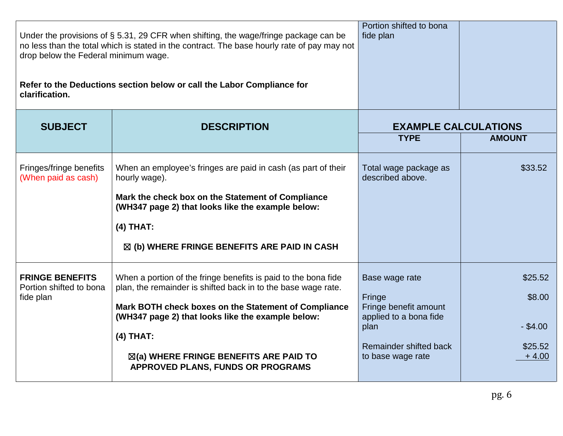| Under the provisions of $\S$ 5.31, 29 CFR when shifting, the wage/fringe package can be     | Portion shifted to bona<br>fide plan |  |
|---------------------------------------------------------------------------------------------|--------------------------------------|--|
| no less than the total which is stated in the contract. The base hourly rate of pay may not |                                      |  |
| drop below the Federal minimum wage.                                                        |                                      |  |
|                                                                                             |                                      |  |
| Refer to the Deductions section below or call the Labor Compliance for<br>clarification.    |                                      |  |
|                                                                                             |                                      |  |

| <b>SUBJECT</b>                                                 | <b>DESCRIPTION</b>                                                                                                                                                                                                                                                                                                                                    | <b>EXAMPLE CALCULATIONS</b>                                                                                                        |                                                       |
|----------------------------------------------------------------|-------------------------------------------------------------------------------------------------------------------------------------------------------------------------------------------------------------------------------------------------------------------------------------------------------------------------------------------------------|------------------------------------------------------------------------------------------------------------------------------------|-------------------------------------------------------|
|                                                                |                                                                                                                                                                                                                                                                                                                                                       | <b>TYPE</b>                                                                                                                        | <b>AMOUNT</b>                                         |
| Fringes/fringe benefits<br>(When paid as cash)                 | When an employee's fringes are paid in cash (as part of their<br>hourly wage).<br>Mark the check box on the Statement of Compliance<br>(WH347 page 2) that looks like the example below:<br>$(4)$ THAT:<br>$\boxtimes$ (b) WHERE FRINGE BENEFITS ARE PAID IN CASH                                                                                     | Total wage package as<br>described above.                                                                                          | \$33.52                                               |
| <b>FRINGE BENEFITS</b><br>Portion shifted to bona<br>fide plan | When a portion of the fringe benefits is paid to the bona fide<br>plan, the remainder is shifted back in to the base wage rate.<br>Mark BOTH check boxes on the Statement of Compliance<br>(WH347 page 2) that looks like the example below:<br>$(4)$ THAT:<br>$\boxtimes$ (a) WHERE FRINGE BENEFITS ARE PAID TO<br>APPROVED PLANS, FUNDS OR PROGRAMS | Base wage rate<br>Fringe<br>Fringe benefit amount<br>applied to a bona fide<br>plan<br>Remainder shifted back<br>to base wage rate | \$25.52<br>\$8.00<br>$-$ \$4.00<br>\$25.52<br>$+4.00$ |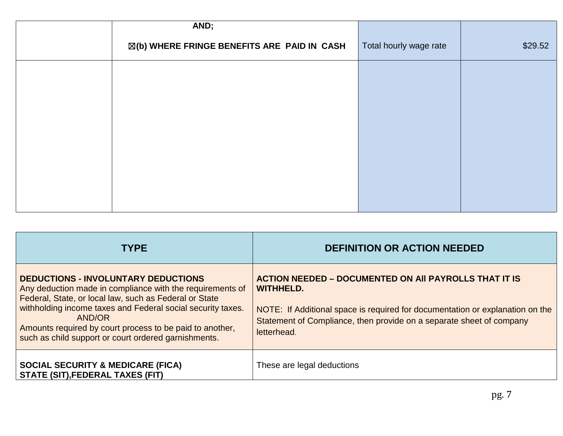| AND;                                                   |                        |         |
|--------------------------------------------------------|------------------------|---------|
| $\boxtimes$ (b) WHERE FRINGE BENEFITS ARE PAID IN CASH | Total hourly wage rate | \$29.52 |
|                                                        |                        |         |
|                                                        |                        |         |
|                                                        |                        |         |
|                                                        |                        |         |
|                                                        |                        |         |
|                                                        |                        |         |
|                                                        |                        |         |

| <b>TYPE</b>                                                                                                                                                                                                                                                                                                                                                    | <b>DEFINITION OR ACTION NEEDED</b>                                                                                                                                                                                                                       |
|----------------------------------------------------------------------------------------------------------------------------------------------------------------------------------------------------------------------------------------------------------------------------------------------------------------------------------------------------------------|----------------------------------------------------------------------------------------------------------------------------------------------------------------------------------------------------------------------------------------------------------|
| <b>DEDUCTIONS - INVOLUNTARY DEDUCTIONS</b><br>Any deduction made in compliance with the requirements of<br>Federal, State, or local law, such as Federal or State<br>withholding income taxes and Federal social security taxes.<br>AND/OR<br>Amounts required by court process to be paid to another,<br>such as child support or court ordered garnishments. | <b>ACTION NEEDED – DOCUMENTED ON AII PAYROLLS THAT IT IS</b><br><b>WITHHELD.</b><br>NOTE: If Additional space is required for documentation or explanation on the<br>Statement of Compliance, then provide on a separate sheet of company<br>letterhead. |
| <b>SOCIAL SECURITY &amp; MEDICARE (FICA)</b><br><b>STATE (SIT), FEDERAL TAXES (FIT)</b>                                                                                                                                                                                                                                                                        | These are legal deductions                                                                                                                                                                                                                               |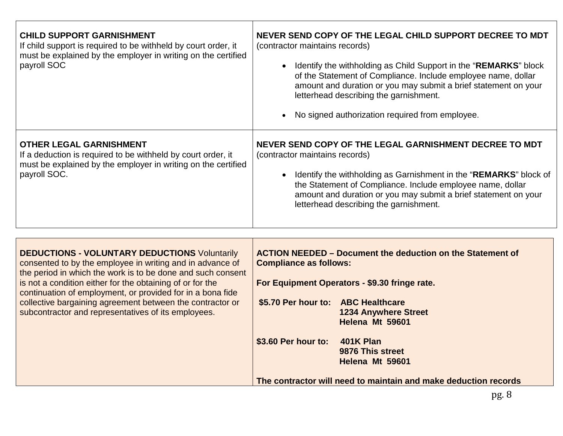| <b>CHILD SUPPORT GARNISHMENT</b><br>If child support is required to be withheld by court order, it<br>must be explained by the employer in writing on the certified<br>payroll SOC                                                                                                                                                                                                                                              | NEVER SEND COPY OF THE LEGAL CHILD SUPPORT DECREE TO MDT<br>(contractor maintains records)<br>• Identify the withholding as Child Support in the "REMARKS" block<br>of the Statement of Compliance. Include employee name, dollar<br>amount and duration or you may submit a brief statement on your<br>letterhead describing the garnishment.<br>No signed authorization required from employee. |
|---------------------------------------------------------------------------------------------------------------------------------------------------------------------------------------------------------------------------------------------------------------------------------------------------------------------------------------------------------------------------------------------------------------------------------|---------------------------------------------------------------------------------------------------------------------------------------------------------------------------------------------------------------------------------------------------------------------------------------------------------------------------------------------------------------------------------------------------|
| <b>OTHER LEGAL GARNISHMENT</b><br>If a deduction is required to be withheld by court order, it<br>must be explained by the employer in writing on the certified<br>payroll SOC.                                                                                                                                                                                                                                                 | NEVER SEND COPY OF THE LEGAL GARNISHMENT DECREE TO MDT<br>(contractor maintains records)<br>Identify the withholding as Garnishment in the "REMARKS" block of<br>the Statement of Compliance. Include employee name, dollar<br>amount and duration or you may submit a brief statement on your<br>letterhead describing the garnishment.                                                          |
| <b>DEDUCTIONS - VOLUNTARY DEDUCTIONS Voluntarily</b><br>consented to by the employee in writing and in advance of<br>the period in which the work is to be done and such consent<br>is not a condition either for the obtaining of or for the<br>continuation of employment, or provided for in a bona fide<br>collective bargaining agreement between the contractor or<br>subcontractor and representatives of its employees. | <b>ACTION NEEDED - Document the deduction on the Statement of</b><br><b>Compliance as follows:</b><br>For Equipment Operators - \$9.30 fringe rate.<br>\$5.70 Per hour to: ABC Healthcare<br><b>1234 Anywhere Street</b><br>Helena Mt 59601<br>401K Plan<br>\$3.60 Per hour to:<br>9876 This street<br>Helena Mt 59601<br>The contractor will need to maintain and make deduction records         |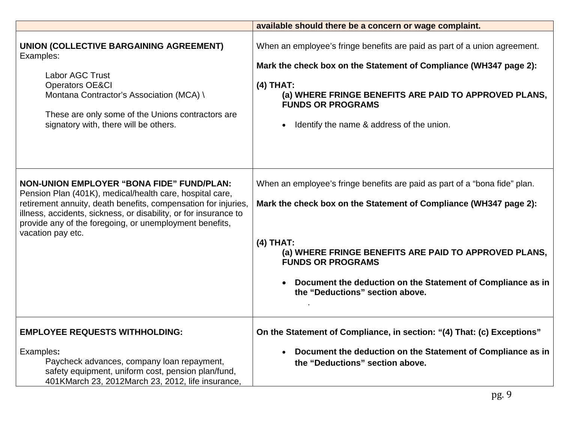|                                                                                                                                                                                                                                                                                                                                    | available should there be a concern or wage complaint.                                                                                                                                                                                                                                                                                                |
|------------------------------------------------------------------------------------------------------------------------------------------------------------------------------------------------------------------------------------------------------------------------------------------------------------------------------------|-------------------------------------------------------------------------------------------------------------------------------------------------------------------------------------------------------------------------------------------------------------------------------------------------------------------------------------------------------|
| UNION (COLLECTIVE BARGAINING AGREEMENT)<br>Examples:<br>Labor AGC Trust<br><b>Operators OE&amp;CI</b><br>Montana Contractor's Association (MCA) \<br>These are only some of the Unions contractors are<br>signatory with, there will be others.                                                                                    | When an employee's fringe benefits are paid as part of a union agreement.<br>Mark the check box on the Statement of Compliance (WH347 page 2):<br>$(4)$ THAT:<br>(a) WHERE FRINGE BENEFITS ARE PAID TO APPROVED PLANS,<br><b>FUNDS OR PROGRAMS</b><br>Identify the name & address of the union.                                                       |
| <b>NON-UNION EMPLOYER "BONA FIDE" FUND/PLAN:</b><br>Pension Plan (401K), medical/health care, hospital care,<br>retirement annuity, death benefits, compensation for injuries,<br>illness, accidents, sickness, or disability, or for insurance to<br>provide any of the foregoing, or unemployment benefits,<br>vacation pay etc. | When an employee's fringe benefits are paid as part of a "bona fide" plan.<br>Mark the check box on the Statement of Compliance (WH347 page 2):<br>$(4)$ THAT:<br>(a) WHERE FRINGE BENEFITS ARE PAID TO APPROVED PLANS,<br><b>FUNDS OR PROGRAMS</b><br>Document the deduction on the Statement of Compliance as in<br>the "Deductions" section above. |
| <b>EMPLOYEE REQUESTS WITHHOLDING:</b><br>Examples:<br>Paycheck advances, company loan repayment,<br>safety equipment, uniform cost, pension plan/fund,<br>401KMarch 23, 2012March 23, 2012, life insurance,                                                                                                                        | On the Statement of Compliance, in section: "(4) That: (c) Exceptions"<br>Document the deduction on the Statement of Compliance as in<br>the "Deductions" section above.                                                                                                                                                                              |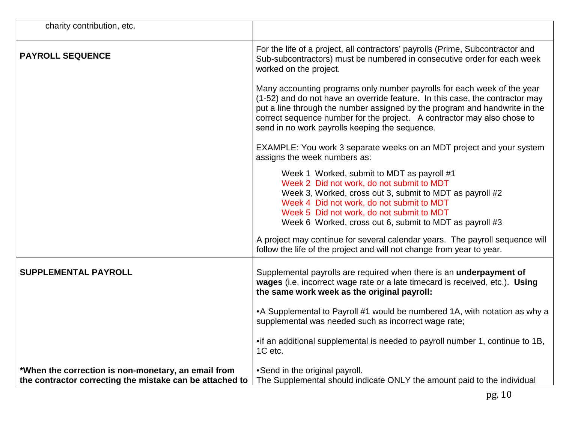| charity contribution, etc.                                                                                      |                                                                                                                                                                                                                                                                                                                                                                    |
|-----------------------------------------------------------------------------------------------------------------|--------------------------------------------------------------------------------------------------------------------------------------------------------------------------------------------------------------------------------------------------------------------------------------------------------------------------------------------------------------------|
| <b>PAYROLL SEQUENCE</b>                                                                                         | For the life of a project, all contractors' payrolls (Prime, Subcontractor and<br>Sub-subcontractors) must be numbered in consecutive order for each week<br>worked on the project.                                                                                                                                                                                |
|                                                                                                                 | Many accounting programs only number payrolls for each week of the year<br>(1-52) and do not have an override feature. In this case, the contractor may<br>put a line through the number assigned by the program and handwrite in the<br>correct sequence number for the project. A contractor may also chose to<br>send in no work payrolls keeping the sequence. |
|                                                                                                                 | EXAMPLE: You work 3 separate weeks on an MDT project and your system<br>assigns the week numbers as:                                                                                                                                                                                                                                                               |
|                                                                                                                 | Week 1 Worked, submit to MDT as payroll #1<br>Week 2 Did not work, do not submit to MDT<br>Week 3, Worked, cross out 3, submit to MDT as payroll #2<br>Week 4 Did not work, do not submit to MDT<br>Week 5 Did not work, do not submit to MDT<br>Week 6 Worked, cross out 6, submit to MDT as payroll #3                                                           |
|                                                                                                                 | A project may continue for several calendar years. The payroll sequence will<br>follow the life of the project and will not change from year to year.                                                                                                                                                                                                              |
| <b>SUPPLEMENTAL PAYROLL</b>                                                                                     | Supplemental payrolls are required when there is an underpayment of<br>wages (i.e. incorrect wage rate or a late timecard is received, etc.). Using<br>the same work week as the original payroll:                                                                                                                                                                 |
|                                                                                                                 | • A Supplemental to Payroll #1 would be numbered 1A, with notation as why a<br>supplemental was needed such as incorrect wage rate;                                                                                                                                                                                                                                |
|                                                                                                                 | • if an additional supplemental is needed to payroll number 1, continue to 1B,<br>1C etc.                                                                                                                                                                                                                                                                          |
| *When the correction is non-monetary, an email from<br>the contractor correcting the mistake can be attached to | •Send in the original payroll.<br>The Supplemental should indicate ONLY the amount paid to the individual                                                                                                                                                                                                                                                          |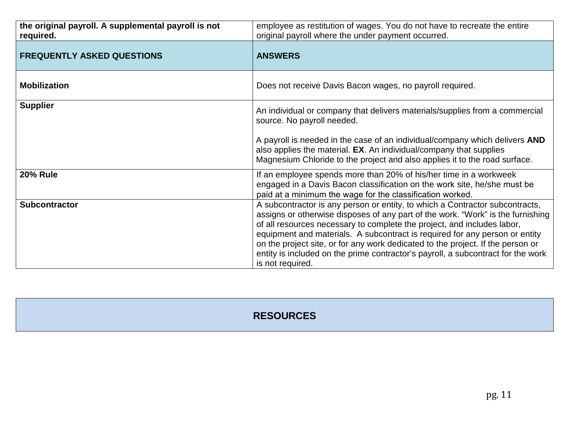| the original payroll. A supplemental payroll is not<br>required. | employee as restitution of wages. You do not have to recreate the entire<br>original payroll where the under payment occurred.                                                                                                                                                                                                                                                                                                                                                                                       |
|------------------------------------------------------------------|----------------------------------------------------------------------------------------------------------------------------------------------------------------------------------------------------------------------------------------------------------------------------------------------------------------------------------------------------------------------------------------------------------------------------------------------------------------------------------------------------------------------|
| <b>FREQUENTLY ASKED QUESTIONS</b>                                | <b>ANSWERS</b>                                                                                                                                                                                                                                                                                                                                                                                                                                                                                                       |
| <b>Mobilization</b>                                              | Does not receive Davis Bacon wages, no payroll required.                                                                                                                                                                                                                                                                                                                                                                                                                                                             |
| <b>Supplier</b>                                                  | An individual or company that delivers materials/supplies from a commercial<br>source. No payroll needed.                                                                                                                                                                                                                                                                                                                                                                                                            |
|                                                                  | A payroll is needed in the case of an individual/company which delivers AND<br>also applies the material. EX. An individual/company that supplies<br>Magnesium Chloride to the project and also applies it to the road surface.                                                                                                                                                                                                                                                                                      |
| <b>20% Rule</b>                                                  | If an employee spends more than 20% of his/her time in a workweek<br>engaged in a Davis Bacon classification on the work site, he/she must be<br>paid at a minimum the wage for the classification worked.                                                                                                                                                                                                                                                                                                           |
| <b>Subcontractor</b>                                             | A subcontractor is any person or entity, to which a Contractor subcontracts,<br>assigns or otherwise disposes of any part of the work. "Work" is the furnishing<br>of all resources necessary to complete the project, and includes labor,<br>equipment and materials. A subcontract is required for any person or entity<br>on the project site, or for any work dedicated to the project. If the person or<br>entity is included on the prime contractor's payroll, a subcontract for the work<br>is not required. |

## **RESOURCES**